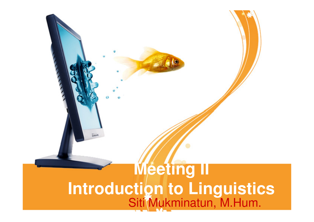### **Meeting IIIntroduction to Linguistics**Siti Mukminatun, M.Hum.

**Gina**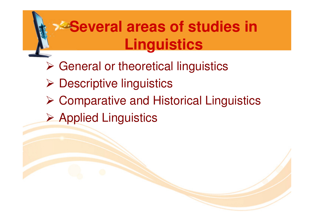### **Example 2 Several areas of studies in Linguistics**

- > General or theoretical linguistics
- > Descriptive linguistics
- **▶ Comparative and Historical Linguistics**
- Applied Linguistics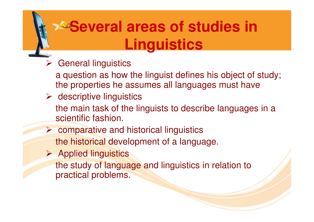### **Several areas of studies in Linguistics**

- General linguistics
	- a question as how the linguist defines his object of study;the properties he assumes all languages must have
- > descriptive linguistics
	- the main task of the linguists to describe languages in a scientific fashion.
- **▶ comparative and historical linguistics** 
	- the historical development of a language.
- > Applied linguistics the study of language and linguistics in relation to
	- practical problems.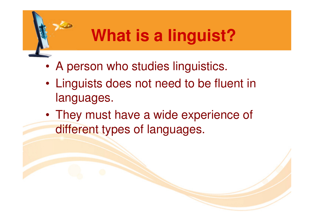# **What is a linguist?**

- •A person who studies linguistics.
- • Linguists does not need to be fluent in languages.
- •• They must have a wide experience of different types of languages.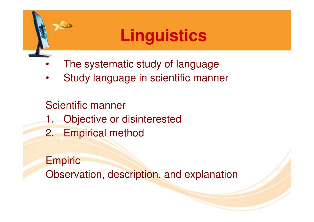### **Linguistics**

- •The systematic study of language
- Study language in scientific manner•

Scientific manner 1. Objective or disinterested2. Empirical method

**Empiric** Observation, description, and explanation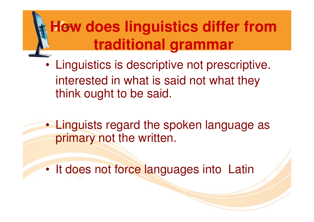# **How does linguistics differ from traditional grammar**

- • Linguistics is descriptive not prescriptive. interested in what is said not what they think ought to be said.
- • Linguists regard the spoken language as primary not the written.
- •It does not force languages into Latin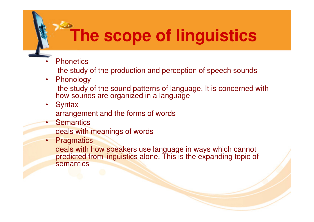# **The scope of linguistics**

- •**Phonetics** 
	- the study of the production and perception of speech sounds
- • Phonology the study of the sound patterns of language. It is concerned with how sounds are organized in a language
- •**Syntax**

arrangement and the forms of words

•**Semantics** 

deals with meanings of words

• Pragmatics

deals with how speakers use language in ways which cannot predicted from linguistics alone. This is the expanding topic of **semantics**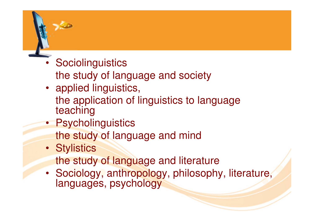- Sociolinguistics
	- the study of language and society
- applied linguistics, the application of linguistics to language teaching
- Psycholinguisticsthe study of language and mind
- Stylisticsthe study of language and literature
- Sociology, anthropology, philosophy, literature, languages, psychology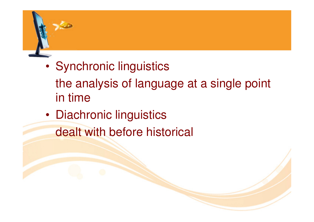#### •Synchronic linguistics

- the analysis of language at a single point in time
- •**• Diachronic linguistics** 
	- dealt with before historical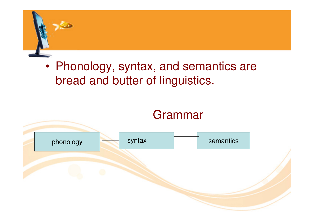

#### • Phonology, syntax, and semantics are bread and butter of linguistics.

#### Grammar

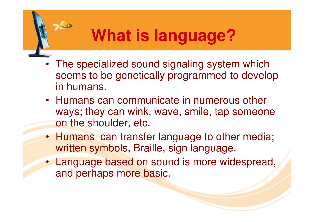# **What is language?**

- The specialized sound signaling system which seems to be genetically programmed to develop in humans.
- Humans can communicate in numerous other ways; they can wink, wave, smile, tap someone on the shoulder, etc.
- Humans can transfer language to other media; written symbols, Braille, sign language.
- Language based on sound is more widespread, and perhaps more basic.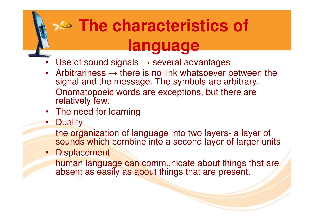# **The characteristics of language**

- Use of sound signals  $\rightarrow$  several advantages •
- Arbitrariness  $\rightarrow$  there is no link whatsoever between the •signal and the message. The symbols are arbitrary.Onomatopoeic words are exceptions, but there are relatively few.
- The need for learning
- •**Duality**

 the organization of language into two layers- a layer of sounds which combine into a second layer of larger units

• Displacement

human language can communicate about things that are absent as easily as about things that are present.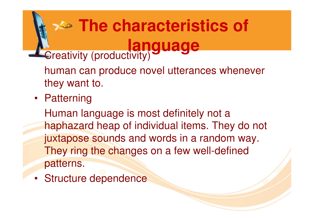### **The characteristics of language• Creativity (productivity)**

human can produce novel utterances whenever they want to.

• Patterning

Human language is most definitely not a haphazard heap of individual items. They do not juxtapose sounds and words in a random way. They ring the changes on a few well-defined patterns.

• Structure dependence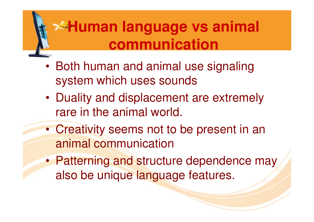### **Human language vs animal communication**

- • Both human and animal use signaling system which uses sounds
- • Duality and displacement are extremely rare in the animal world.
- $\bullet$  Creativity seems not to be present in an animal communication
- •Patterning and structure dependence may also be unique language features.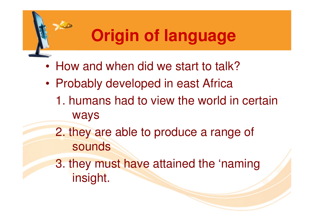# **Origin of language**

- •How and when did we start to talk?
- • Probably developed in east Africa
	- 1. humans had to view the world in certain ways
	- 2. they are able to produce a range of sounds

3. they must have attained the 'naming insight.